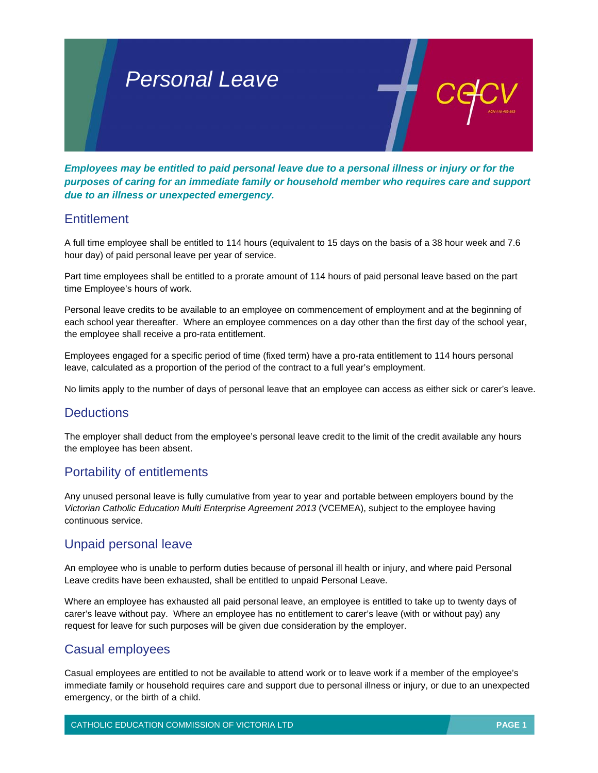

*Employees may be entitled to paid personal leave due to a personal illness or injury or for the purposes of caring for an immediate family or household member who requires care and support due to an illness or unexpected emergency.* 

#### **Entitlement**

A full time employee shall be entitled to 114 hours (equivalent to 15 days on the basis of a 38 hour week and 7.6 hour day) of paid personal leave per year of service.

Part time employees shall be entitled to a prorate amount of 114 hours of paid personal leave based on the part time Employee's hours of work.

Personal leave credits to be available to an employee on commencement of employment and at the beginning of each school year thereafter. Where an employee commences on a day other than the first day of the school year, the employee shall receive a pro-rata entitlement.

Employees engaged for a specific period of time (fixed term) have a pro-rata entitlement to 114 hours personal leave, calculated as a proportion of the period of the contract to a full year's employment.

No limits apply to the number of days of personal leave that an employee can access as either sick or carer's leave.

# **Deductions**

The employer shall deduct from the employee's personal leave credit to the limit of the credit available any hours the employee has been absent.

# Portability of entitlements

Any unused personal leave is fully cumulative from year to year and portable between employers bound by the *Victorian Catholic Education Multi Enterprise Agreement 2013* (VCEMEA), subject to the employee having continuous service.

# Unpaid personal leave

An employee who is unable to perform duties because of personal ill health or injury, and where paid Personal Leave credits have been exhausted, shall be entitled to unpaid Personal Leave.

Where an employee has exhausted all paid personal leave, an employee is entitled to take up to twenty days of carer's leave without pay. Where an employee has no entitlement to carer's leave (with or without pay) any request for leave for such purposes will be given due consideration by the employer.

# Casual employees

Casual employees are entitled to not be available to attend work or to leave work if a member of the employee's immediate family or household requires care and support due to personal illness or injury, or due to an unexpected emergency, or the birth of a child.